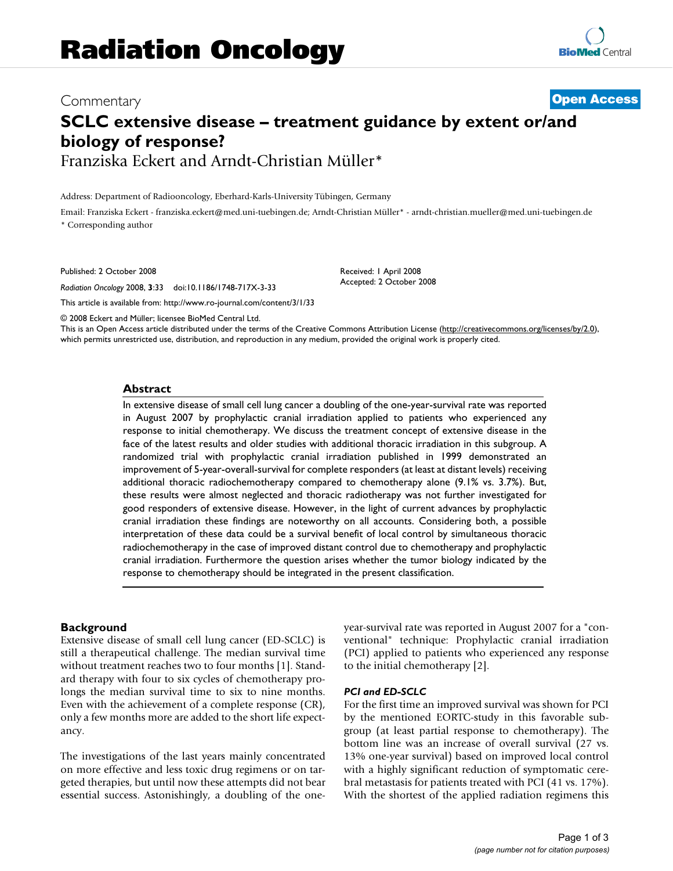# Commentary **[Open Access](http://www.biomedcentral.com/info/about/charter/) SCLC extensive disease – treatment guidance by extent or/and biology of response?** Franziska Eckert and Arndt-Christian Müller\*

Address: Department of Radiooncology, Eberhard-Karls-University Tübingen, Germany

Email: Franziska Eckert - franziska.eckert@med.uni-tuebingen.de; Arndt-Christian Müller\* - arndt-christian.mueller@med.uni-tuebingen.de \* Corresponding author

Published: 2 October 2008

*Radiation Oncology* 2008, **3**:33 doi:10.1186/1748-717X-3-33

[This article is available from: http://www.ro-journal.com/content/3/1/33](http://www.ro-journal.com/content/3/1/33)

© 2008 Eckert and Müller; licensee BioMed Central Ltd.

This is an Open Access article distributed under the terms of the Creative Commons Attribution License [\(http://creativecommons.org/licenses/by/2.0\)](http://creativecommons.org/licenses/by/2.0), which permits unrestricted use, distribution, and reproduction in any medium, provided the original work is properly cited.

Received: 1 April 2008 Accepted: 2 October 2008

#### **Abstract**

In extensive disease of small cell lung cancer a doubling of the one-year-survival rate was reported in August 2007 by prophylactic cranial irradiation applied to patients who experienced any response to initial chemotherapy. We discuss the treatment concept of extensive disease in the face of the latest results and older studies with additional thoracic irradiation in this subgroup. A randomized trial with prophylactic cranial irradiation published in 1999 demonstrated an improvement of 5-year-overall-survival for complete responders (at least at distant levels) receiving additional thoracic radiochemotherapy compared to chemotherapy alone (9.1% vs. 3.7%). But, these results were almost neglected and thoracic radiotherapy was not further investigated for good responders of extensive disease. However, in the light of current advances by prophylactic cranial irradiation these findings are noteworthy on all accounts. Considering both, a possible interpretation of these data could be a survival benefit of local control by simultaneous thoracic radiochemotherapy in the case of improved distant control due to chemotherapy and prophylactic cranial irradiation. Furthermore the question arises whether the tumor biology indicated by the response to chemotherapy should be integrated in the present classification.

## **Background**

Extensive disease of small cell lung cancer (ED-SCLC) is still a therapeutical challenge. The median survival time without treatment reaches two to four months [1]. Standard therapy with four to six cycles of chemotherapy prolongs the median survival time to six to nine months. Even with the achievement of a complete response (CR), only a few months more are added to the short life expectancy.

The investigations of the last years mainly concentrated on more effective and less toxic drug regimens or on targeted therapies, but until now these attempts did not bear essential success. Astonishingly, a doubling of the oneyear-survival rate was reported in August 2007 for a "conventional" technique: Prophylactic cranial irradiation (PCI) applied to patients who experienced any response to the initial chemotherapy [2].

# *PCI and ED-SCLC*

For the first time an improved survival was shown for PCI by the mentioned EORTC-study in this favorable subgroup (at least partial response to chemotherapy). The bottom line was an increase of overall survival (27 vs. 13% one-year survival) based on improved local control with a highly significant reduction of symptomatic cerebral metastasis for patients treated with PCI (41 vs. 17%). With the shortest of the applied radiation regimens this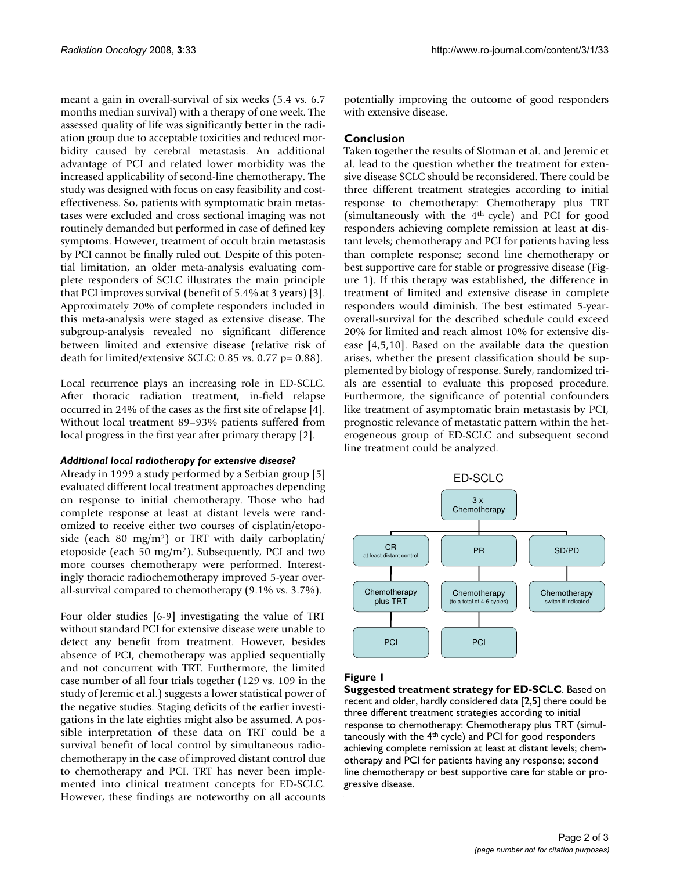meant a gain in overall-survival of six weeks (5.4 vs. 6.7 months median survival) with a therapy of one week. The assessed quality of life was significantly better in the radiation group due to acceptable toxicities and reduced morbidity caused by cerebral metastasis. An additional advantage of PCI and related lower morbidity was the increased applicability of second-line chemotherapy. The study was designed with focus on easy feasibility and costeffectiveness. So, patients with symptomatic brain metastases were excluded and cross sectional imaging was not routinely demanded but performed in case of defined key symptoms. However, treatment of occult brain metastasis by PCI cannot be finally ruled out. Despite of this potential limitation, an older meta-analysis evaluating complete responders of SCLC illustrates the main principle that PCI improves survival (benefit of 5.4% at 3 years) [3]. Approximately 20% of complete responders included in this meta-analysis were staged as extensive disease. The subgroup-analysis revealed no significant difference between limited and extensive disease (relative risk of death for limited/extensive SCLC: 0.85 vs. 0.77 p= 0.88).

Local recurrence plays an increasing role in ED-SCLC. After thoracic radiation treatment, in-field relapse occurred in 24% of the cases as the first site of relapse [4]. Without local treatment 89–93% patients suffered from local progress in the first year after primary therapy [2].

## *Additional local radiotherapy for extensive disease?*

Already in 1999 a study performed by a Serbian group [5] evaluated different local treatment approaches depending on response to initial chemotherapy. Those who had complete response at least at distant levels were randomized to receive either two courses of cisplatin/etoposide (each 80 mg/m<sup>2</sup>) or TRT with daily carboplatin/ etoposide (each 50 mg/m2). Subsequently, PCI and two more courses chemotherapy were performed. Interestingly thoracic radiochemotherapy improved 5-year overall-survival compared to chemotherapy (9.1% vs. 3.7%).

Four older studies [6-9] investigating the value of TRT without standard PCI for extensive disease were unable to detect any benefit from treatment. However, besides absence of PCI, chemotherapy was applied sequentially and not concurrent with TRT. Furthermore, the limited case number of all four trials together (129 vs. 109 in the study of Jeremic et al.) suggests a lower statistical power of the negative studies. Staging deficits of the earlier investigations in the late eighties might also be assumed. A possible interpretation of these data on TRT could be a survival benefit of local control by simultaneous radiochemotherapy in the case of improved distant control due to chemotherapy and PCI. TRT has never been implemented into clinical treatment concepts for ED-SCLC. However, these findings are noteworthy on all accounts potentially improving the outcome of good responders with extensive disease.

## **Conclusion**

Taken together the results of Slotman et al. and Jeremic et al. lead to the question whether the treatment for extensive disease SCLC should be reconsidered. There could be three different treatment strategies according to initial response to chemotherapy: Chemotherapy plus TRT (simultaneously with the 4th cycle) and PCI for good responders achieving complete remission at least at distant levels; chemotherapy and PCI for patients having less than complete response; second line chemotherapy or best supportive care for stable or progressive disease (Figure 1). If this therapy was established, the difference in treatment of limited and extensive disease in complete responders would diminish. The best estimated 5-yearoverall-survival for the described schedule could exceed 20% for limited and reach almost 10% for extensive disease [4,5,10]. Based on the available data the question arises, whether the present classification should be supplemented by biology of response. Surely, randomized trials are essential to evaluate this proposed procedure. Furthermore, the significance of potential confounders like treatment of asymptomatic brain metastasis by PCI, prognostic relevance of metastatic pattern within the heterogeneous group of ED-SCLC and subsequent second line treatment could be analyzed.



# **Figure 1**

**Suggested treatment strategy for ED-SCLC**. Based on recent and older, hardly considered data [2,5] there could be three different treatment strategies according to initial response to chemotherapy: Chemotherapy plus TRT (simultaneously with the 4th cycle) and PCI for good responders achieving complete remission at least at distant levels; chemotherapy and PCI for patients having any response; second line chemotherapy or best supportive care for stable or progressive disease.